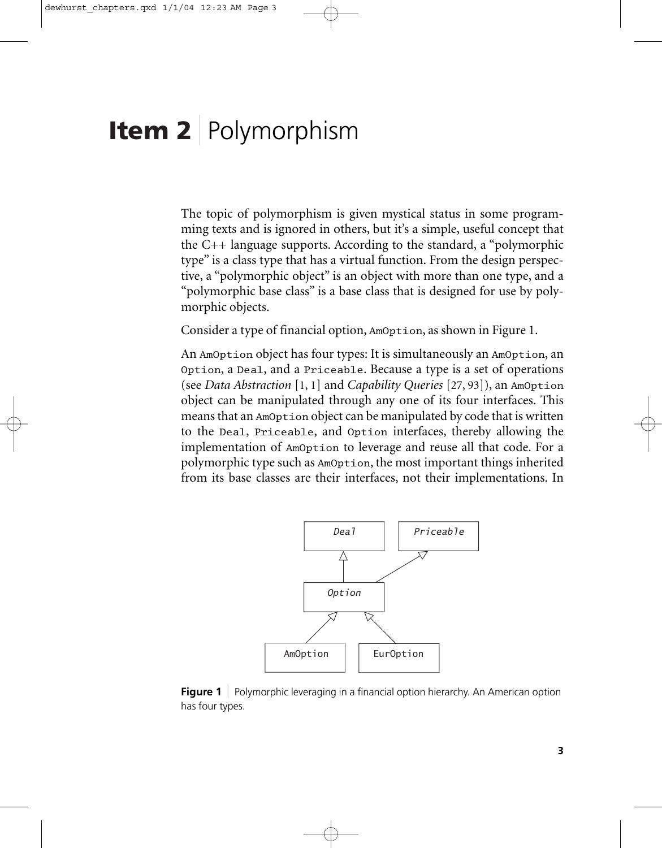# **Item 2** Polymorphism

The topic of polymorphism is given mystical status in some programming texts and is ignored in others, but it's a simple, useful concept that the C++ language supports. According to the standard, a "polymorphic type" is a class type that has a virtual function. From the design perspective, a "polymorphic object" is an object with more than one type, and a "polymorphic base class" is a base class that is designed for use by polymorphic objects.

Consider a type of financial option, AmOption, as shown in Figure 1.

An AmOption object has four types: It is simultaneously an AmOption, an Option, a Deal, and a Priceable. Because a type is a set of operations (see *Data Abstraction* [1, 1] and *Capability Queries* [27, 93]), an AmOption object can be manipulated through any one of its four interfaces. This means that an AmOption object can be manipulated by code that is written to the Deal, Priceable, and Option interfaces, thereby allowing the implementation of AmOption to leverage and reuse all that code. For a polymorphic type such as AmOption, the most important things inherited from its base classes are their interfaces, not their implementations. In



**Figure 1** Polymorphic leveraging in a financial option hierarchy. An American option has four types.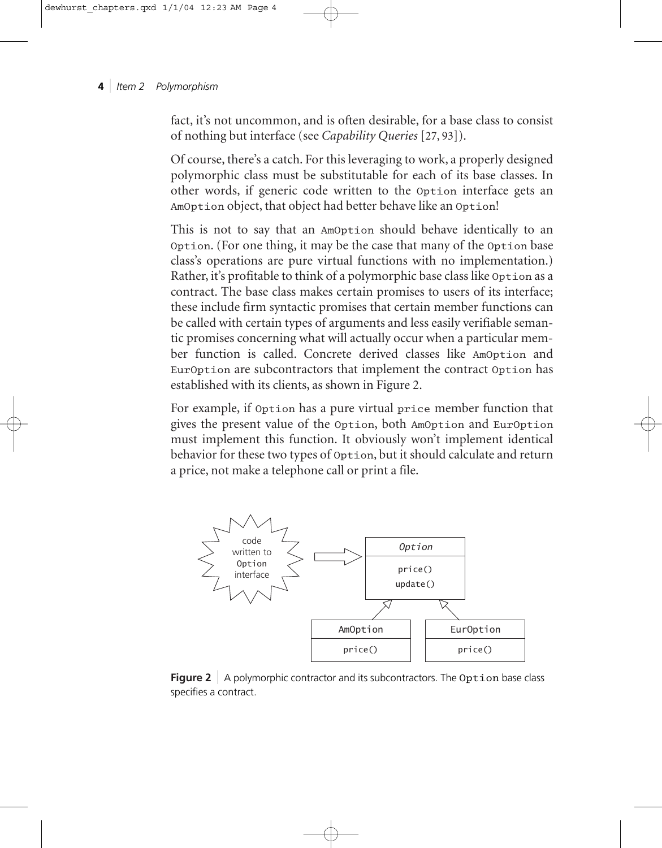## **4** ❘ *Item 2 Polymorphism*

fact, it's not uncommon, and is often desirable, for a base class to consist of nothing but interface (see *Capability Queries* [27, 93]).

Of course, there's a catch. For this leveraging to work, a properly designed polymorphic class must be substitutable for each of its base classes. In other words, if generic code written to the Option interface gets an AmOption object, that object had better behave like an Option!

This is not to say that an AmOption should behave identically to an Option. (For one thing, it may be the case that many of the Option base class's operations are pure virtual functions with no implementation.) Rather, it's profitable to think of a polymorphic base class like Option as a contract. The base class makes certain promises to users of its interface; these include firm syntactic promises that certain member functions can be called with certain types of arguments and less easily verifiable semantic promises concerning what will actually occur when a particular member function is called. Concrete derived classes like AmOption and EurOption are subcontractors that implement the contract Option has established with its clients, as shown in Figure 2.

For example, if Option has a pure virtual price member function that gives the present value of the Option, both AmOption and EurOption must implement this function. It obviously won't implement identical behavior for these two types of Option, but it should calculate and return a price, not make a telephone call or print a file.



**Figure 2**  $\vert$  A polymorphic contractor and its subcontractors. The Option base class specifies a contract.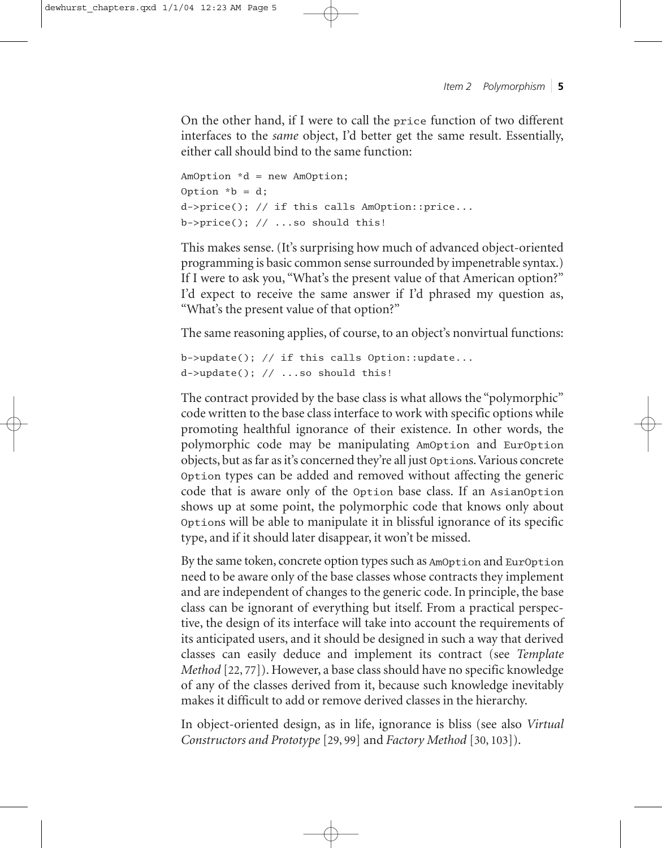On the other hand, if I were to call the price function of two different interfaces to the *same* object, I'd better get the same result. Essentially, either call should bind to the same function:

```
AmOption *d = new AmOption;
Option *b = d;d->price(); // if this calls AmOption::price...
b->price(); // ...so should this!
```
This makes sense. (It's surprising how much of advanced object-oriented programming is basic common sense surrounded by impenetrable syntax.) If I were to ask you, "What's the present value of that American option?" I'd expect to receive the same answer if I'd phrased my question as, "What's the present value of that option?"

The same reasoning applies, of course, to an object's nonvirtual functions:

```
b->update(); // if this calls Option::update...
d->update(); // ...so should this!
```
The contract provided by the base class is what allows the "polymorphic" code written to the base class interface to work with specific options while promoting healthful ignorance of their existence. In other words, the polymorphic code may be manipulating AmOption and EurOption objects, but as far as it's concerned they're all just Options.Various concrete Option types can be added and removed without affecting the generic code that is aware only of the Option base class. If an AsianOption shows up at some point, the polymorphic code that knows only about Options will be able to manipulate it in blissful ignorance of its specific type, and if it should later disappear, it won't be missed.

By the same token, concrete option types such as AmOption and EurOption need to be aware only of the base classes whose contracts they implement and are independent of changes to the generic code. In principle, the base class can be ignorant of everything but itself. From a practical perspective, the design of its interface will take into account the requirements of its anticipated users, and it should be designed in such a way that derived classes can easily deduce and implement its contract (see *Template Method* [22, 77]). However, a base class should have no specific knowledge of any of the classes derived from it, because such knowledge inevitably makes it difficult to add or remove derived classes in the hierarchy.

In object-oriented design, as in life, ignorance is bliss (see also *Virtual Constructors and Prototype* [29, 99] and *Factory Method* [30, 103]).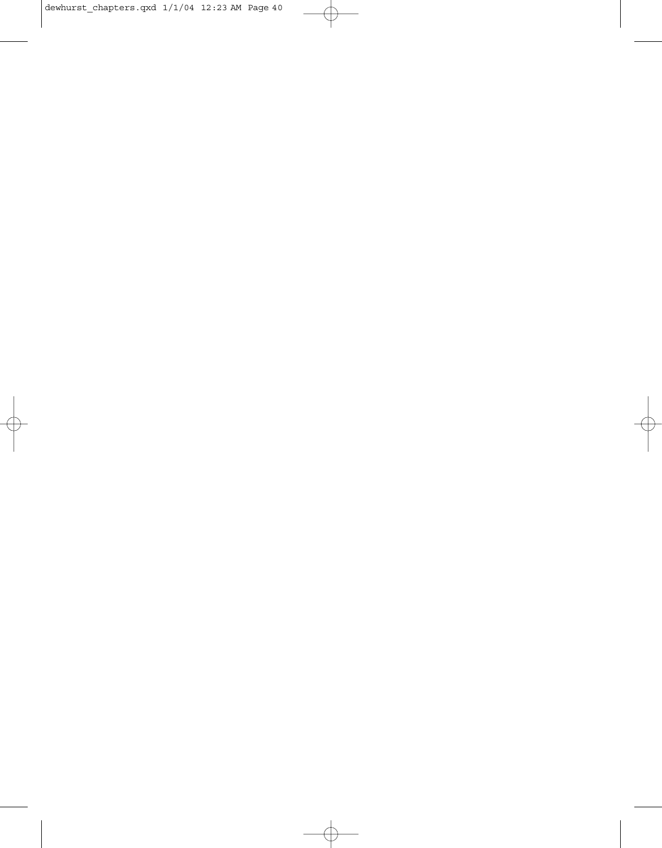dewhurst\_chapters.qxd 1/1/04 12:23 AM Page 40

 $\oplus$ 

 $\oplus$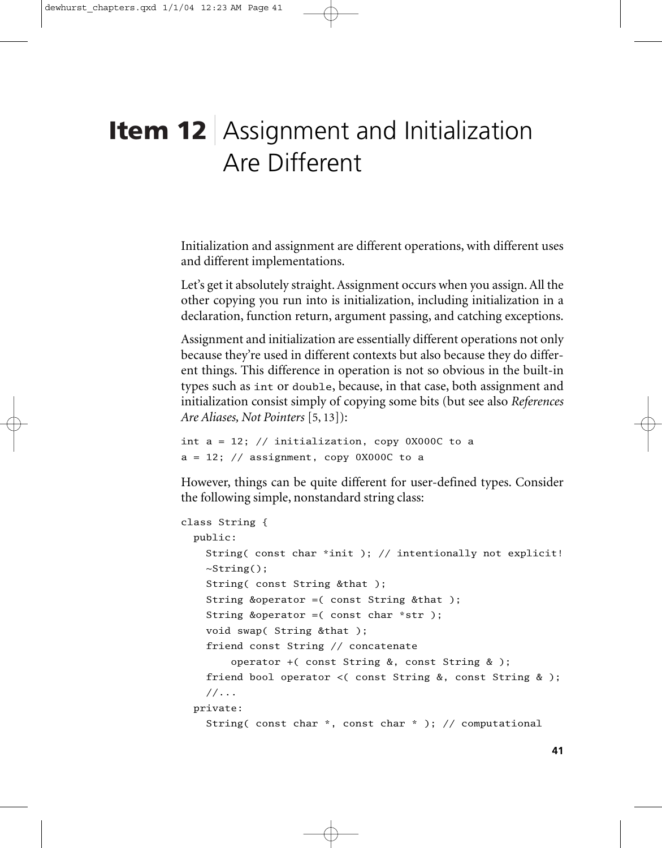# **Item 12** Assignment and Initialization Are Different

Initialization and assignment are different operations, with different uses and different implementations.

Let's get it absolutely straight. Assignment occurs when you assign. All the other copying you run into is initialization, including initialization in a declaration, function return, argument passing, and catching exceptions.

Assignment and initialization are essentially different operations not only because they're used in different contexts but also because they do different things. This difference in operation is not so obvious in the built-in types such as int or double, because, in that case, both assignment and initialization consist simply of copying some bits (but see also *References Are Aliases, Not Pointers* [5, 13]):

```
int a = 12; // initialization, copy 0X000C to a
a = 12; // assignment, copy 0X000C to a
```
However, things can be quite different for user-defined types. Consider the following simple, nonstandard string class:

```
class String {
 public:
    String( const char *init ); // intentionally not explicit!
   ~\simString();
    String( const String &that );
    String &operator =( const String &that );
    String &operator =( const char *str );
    void swap( String &that );
    friend const String // concatenate
        operator +( const String &, const String & );
    friend bool operator <( const String &, const String & );
    //...private:
    String( const char *, const char * ); // computational
```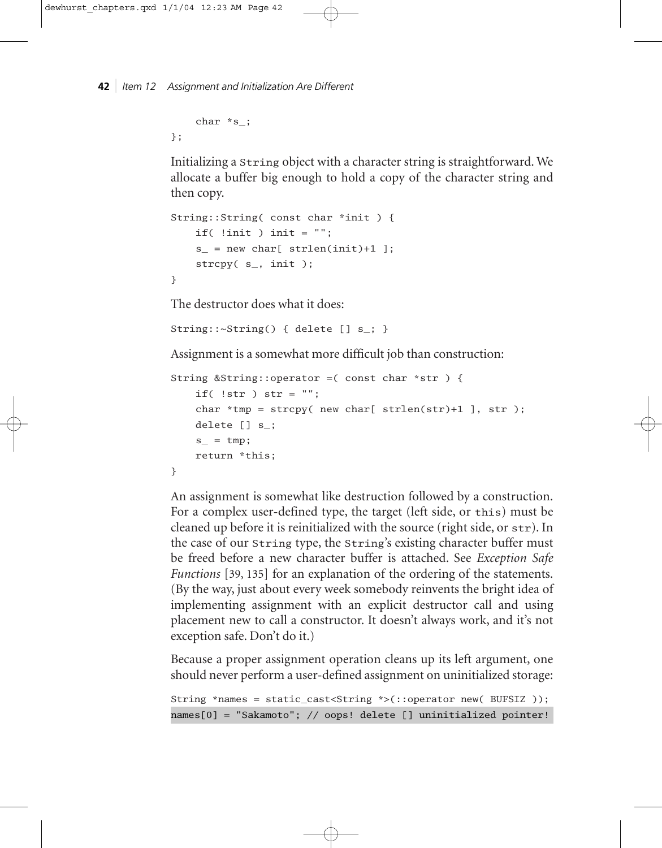**42** ❘ *Item 12 Assignment and Initialization Are Different*

```
char *s_;
};
```
Initializing a String object with a character string is straightforward. We allocate a buffer big enough to hold a copy of the character string and then copy.

```
String::String( const char *init ) {
    if('init') init = "";s_{-} = new char[ strlen(init)+1 ];
    strcpy( s_, init );
}
```
The destructor does what it does:

String::~String() { delete [] s\_; }

Assignment is a somewhat more difficult job than construction:

```
String &String::operator =( const char *str ) {
    if( !str ) str = "";
    char *tmp = strcpy( new char[ strlen(str)+1 ], str );
    delete [] s_;
    s_{-} = tmp;
    return *this;
}
```
An assignment is somewhat like destruction followed by a construction. For a complex user-defined type, the target (left side, or this) must be cleaned up before it is reinitialized with the source (right side, or str). In the case of our String type, the String's existing character buffer must be freed before a new character buffer is attached. See *Exception Safe Functions* [39, 135] for an explanation of the ordering of the statements. (By the way, just about every week somebody reinvents the bright idea of implementing assignment with an explicit destructor call and using placement new to call a constructor. It doesn't always work, and it's not exception safe. Don't do it.)

Because a proper assignment operation cleans up its left argument, one should never perform a user-defined assignment on uninitialized storage:

```
String *names = static_cast<String *>(::operator new( BUFSIZ ));
names[0] = "Sakamoto"; // oops! delete [] uninitialized pointer!
```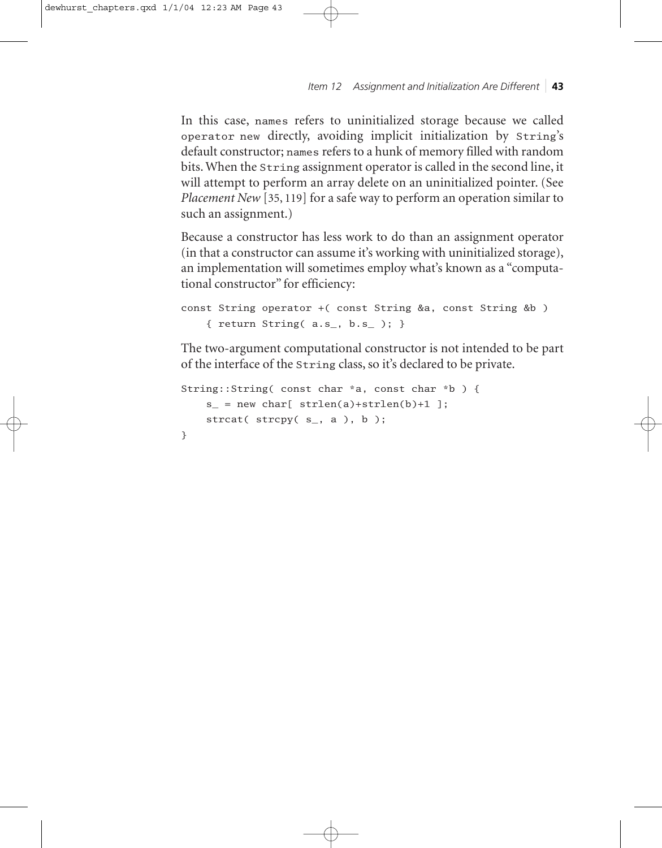In this case, names refers to uninitialized storage because we called operator new directly, avoiding implicit initialization by String's default constructor; names refers to a hunk of memory filled with random bits. When the String assignment operator is called in the second line, it will attempt to perform an array delete on an uninitialized pointer. (See *Placement New* [35, 119] for a safe way to perform an operation similar to such an assignment.)

Because a constructor has less work to do than an assignment operator (in that a constructor can assume it's working with uninitialized storage), an implementation will sometimes employ what's known as a "computational constructor" for efficiency:

```
const String operator +( const String &a, const String &b )
    { return String(a.s_{-}, b.s_{-}); }
```
The two-argument computational constructor is not intended to be part of the interface of the String class, so it's declared to be private.

```
String::String( const char *a, const char *b ) {
    s_{-} = new char[ strlen(a)+strlen(b)+1 ];
    strcat( strcpy( s_ , a ), b);
}
```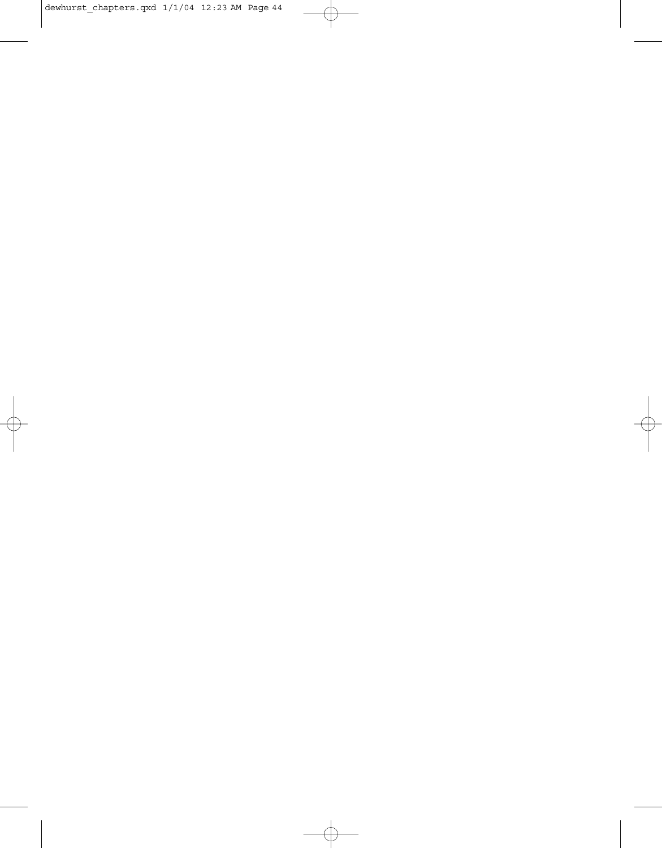dewhurst\_chapters.qxd 1/1/04 12:23 AM Page 44

 $\oplus$ 

 $\oplus$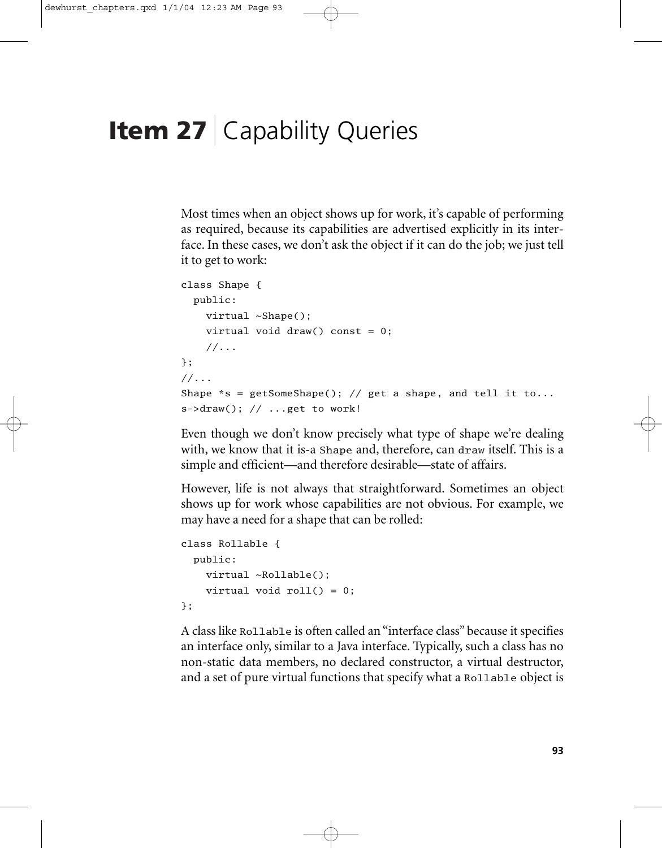# **Item 27** Capability Queries

Most times when an object shows up for work, it's capable of performing as required, because its capabilities are advertised explicitly in its interface. In these cases, we don't ask the object if it can do the job; we just tell it to get to work:

```
class Shape {
  public:
    virtual ~Shape();
    virtual void draw() const = 0;
    1/\ldots};
1/1....
Shape *s = getSomeShape(); // get a shape, and tell it to...s->draw(); // ...get to work!
```
Even though we don't know precisely what type of shape we're dealing with, we know that it is-a Shape and, therefore, can draw itself. This is a simple and efficient—and therefore desirable—state of affairs.

However, life is not always that straightforward. Sometimes an object shows up for work whose capabilities are not obvious. For example, we may have a need for a shape that can be rolled:

```
class Rollable {
  public:
    virtual ~Rollable();
    virtual void roll() = 0;
};
```
A class like Rollable is often called an "interface class" because it specifies an interface only, similar to a Java interface. Typically, such a class has no non-static data members, no declared constructor, a virtual destructor, and a set of pure virtual functions that specify what a Rollable object is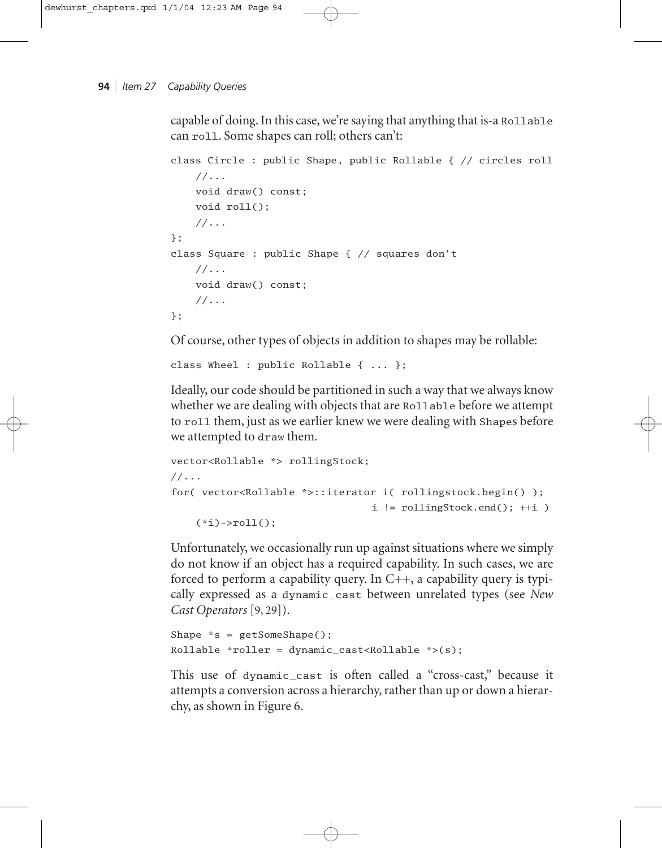## **94** | Item 27 Capability Queries

capable of doing. In this case, we're saying that anything that is-a Rollable can roll. Some shapes can roll; others can't:

```
class Circle : public Shape, public Rollable { // circles roll
    //...void draw() const;
    void roll();
    //...
};
class Square : public Shape { // squares don't
    //...
    void draw() const;
    //...
};
```
Of course, other types of objects in addition to shapes may be rollable:

class Wheel : public Rollable { ... };

Ideally, our code should be partitioned in such a way that we always know whether we are dealing with objects that are Rollable before we attempt to roll them, just as we earlier knew we were dealing with Shapes before we attempted to draw them.

```
vector<Rollable *> rollingStock;
//...
for( vector<Rollable *>::iterator i( rollingstock.begin() );
                                 i != rollingStock.end(); ++i )
    (*i)->roll();
```
Unfortunately, we occasionally run up against situations where we simply do not know if an object has a required capability. In such cases, we are forced to perform a capability query. In C++, a capability query is typically expressed as a dynamic\_cast between unrelated types (see *New Cast Operators* [9, 29]).

```
Shape *s = getSomeShape();
Rollable *roller = dynamic_cast<Rollable *>(s);
```
This use of dynamic\_cast is often called a "cross-cast," because it attempts a conversion across a hierarchy, rather than up or down a hierarchy, as shown in Figure 6.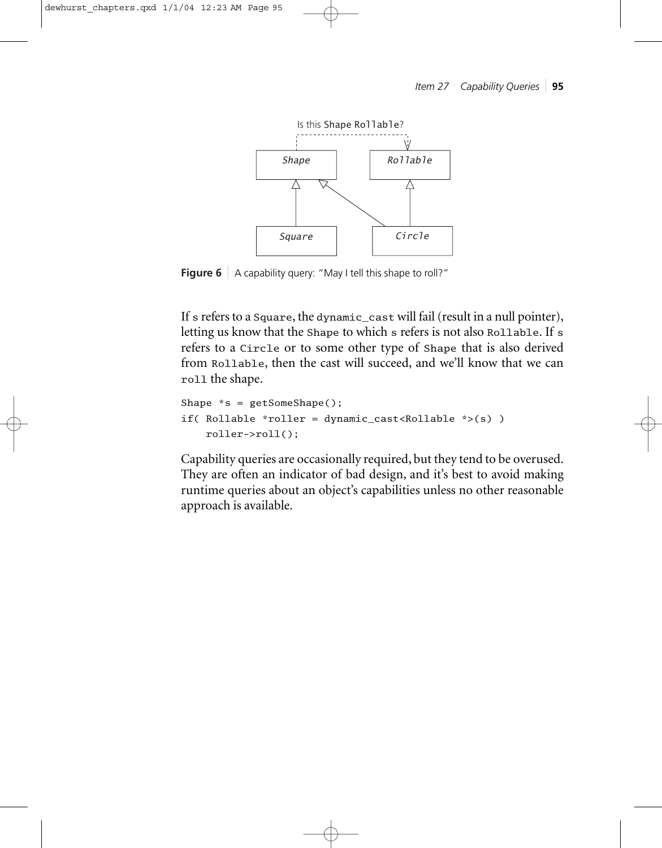

**Figure 6** A capability query: "May I tell this shape to roll?"

If <sup>s</sup> refers to a Square, the dynamic\_cast will fail (result in a null pointer), letting us know that the Shape to which <sup>s</sup> refers is not also Rollable. If <sup>s</sup> refers to a Circle or to some other type of Shape that is also derived from Rollable, then the cast will succeed, and we'll know that we can roll the shape.

```
Shape *s = getSomeShape();
if( Rollable *roller = dynamic_cast<Rollable *>(s) )
   roller->roll();
```
Capability queries are occasionally required, but they tend to be overused. They are often an indicator of bad design, and it's best to avoid making runtime queries about an object's capabilities unless no other reasonable approach is available.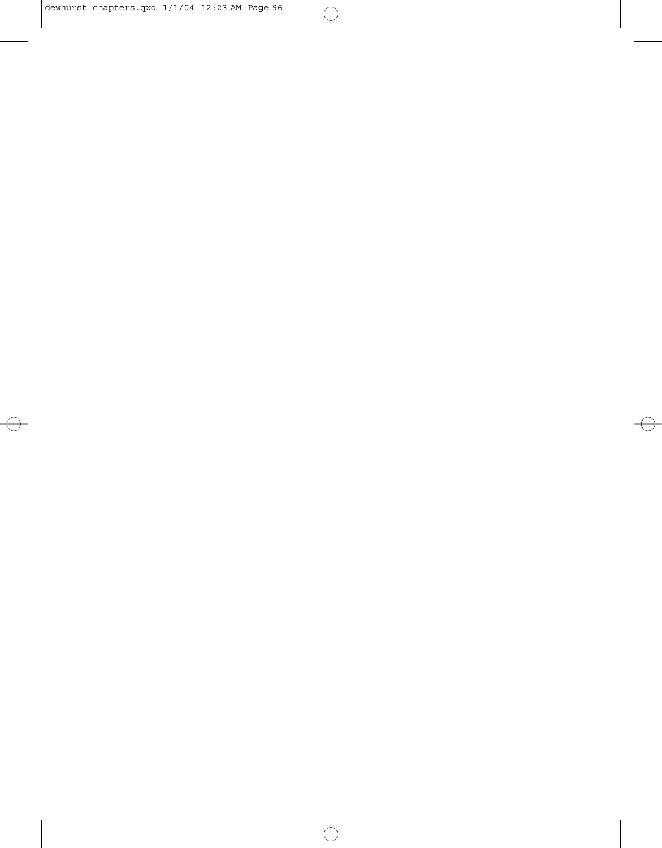dewhurst\_chapters.qxd 1/1/04 12:23 AM Page 96

 $\oplus$ 

 $\oplus$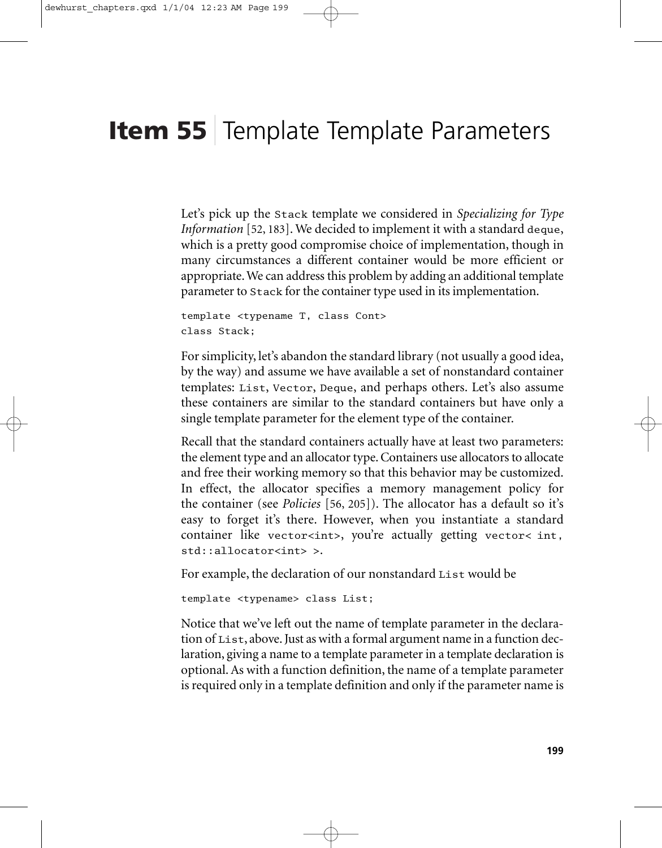# **Item 55** Template Template Parameters

Let's pick up the Stack template we considered in *Specializing for Type Information* [52, 183]. We decided to implement it with a standard deque, which is a pretty good compromise choice of implementation, though in many circumstances a different container would be more efficient or appropriate. We can address this problem by adding an additional template parameter to Stack for the container type used in its implementation.

```
template <typename T, class Cont>
class Stack;
```
For simplicity, let's abandon the standard library (not usually a good idea, by the way) and assume we have available a set of nonstandard container templates: List, Vector, Deque, and perhaps others. Let's also assume these containers are similar to the standard containers but have only a single template parameter for the element type of the container.

Recall that the standard containers actually have at least two parameters: the element type and an allocator type. Containers use allocators to allocate and free their working memory so that this behavior may be customized. In effect, the allocator specifies a memory management policy for the container (see *Policies* [56, 205]). The allocator has a default so it's easy to forget it's there. However, when you instantiate a standard container like vector<int>, you're actually getting vector< int, std::allocator<int> >.

For example, the declaration of our nonstandard List would be

```
template <typename> class List;
```
Notice that we've left out the name of template parameter in the declaration of List, above. Just as with a formal argument name in a function declaration, giving a name to a template parameter in a template declaration is optional. As with a function definition, the name of a template parameter is required only in a template definition and only if the parameter name is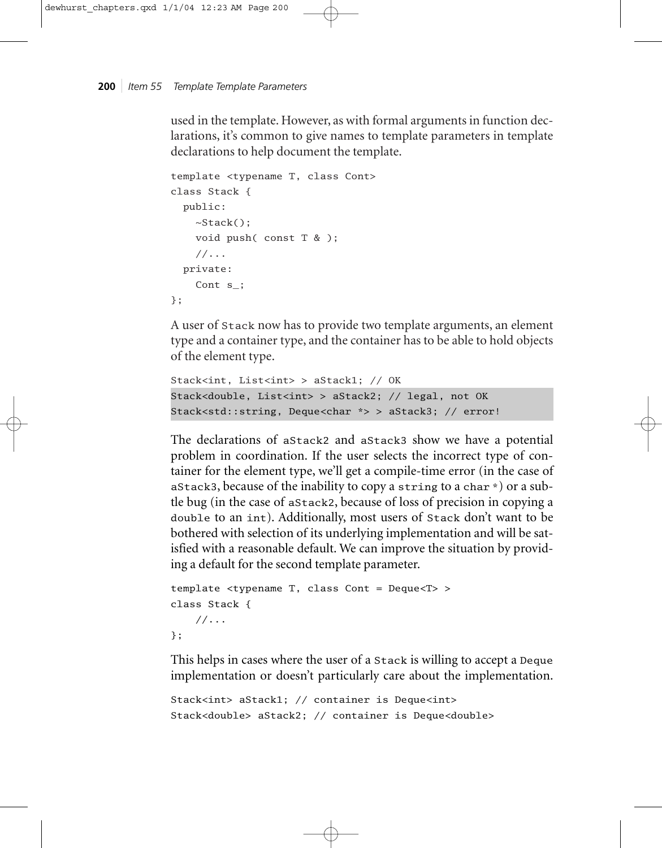#### **200** ❘ *Item 55 Template Template Parameters*

used in the template. However, as with formal arguments in function declarations, it's common to give names to template parameters in template declarations to help document the template.

```
template <typename T, class Cont>
class Stack {
  public:
    ~\simStack();
    void push( const T & );
    //...
  private:
    Cont s_;
};
```
A user of Stack now has to provide two template arguments, an element type and a container type, and the container has to be able to hold objects of the element type.

```
Stack<int, List<int> > aStack1; // OK
Stack<double, List<int> > aStack2; // legal, not OK
Stack<std::string, Deque<char *> > aStack3; // error!
```
The declarations of aStack2 and aStack3 show we have a potential problem in coordination. If the user selects the incorrect type of container for the element type, we'll get a compile-time error (in the case of aStack3, because of the inability to copy a string to a char \*) or a subtle bug (in the case of aStack2, because of loss of precision in copying a double to an int). Additionally, most users of Stack don't want to be bothered with selection of its underlying implementation and will be satisfied with a reasonable default. We can improve the situation by providing a default for the second template parameter.

```
template <typename T, class Cont = Deque<T> >
class Stack {
    //...
};
```
This helps in cases where the user of a Stack is willing to accept a Deque implementation or doesn't particularly care about the implementation.

```
Stack<int> aStack1; // container is Deque<int>
Stack<double> aStack2; // container is Deque<double>
```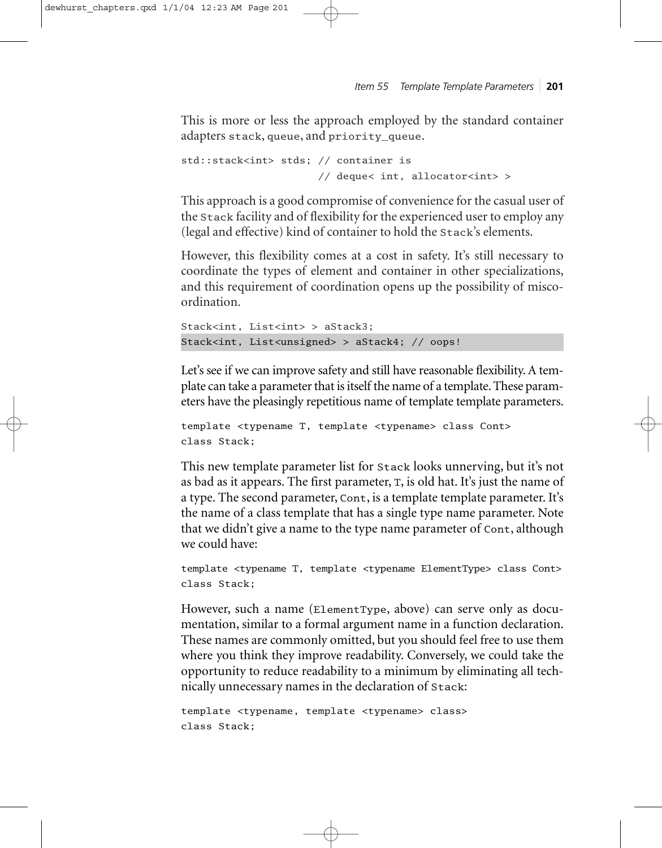This is more or less the approach employed by the standard container adapters stack, queue, and priority\_queue.

std::stack<int> stds; // container is // deque< int, allocator<int> >

This approach is a good compromise of convenience for the casual user of the Stack facility and of flexibility for the experienced user to employ any (legal and effective) kind of container to hold the Stack's elements.

However, this flexibility comes at a cost in safety. It's still necessary to coordinate the types of element and container in other specializations, and this requirement of coordination opens up the possibility of miscoordination.

```
Stack<int, List<int> > aStack3;
Stack<int, List<unsigned> > aStack4; // oops!
```
Let's see if we can improve safety and still have reasonable flexibility. A template can take a parameter that is itself the name of a template. These parameters have the pleasingly repetitious name of template template parameters.

```
template <typename T, template <typename> class Cont>
class Stack;
```
This new template parameter list for Stack looks unnerving, but it's not as bad as it appears. The first parameter, <sup>T</sup>, is old hat. It's just the name of a type. The second parameter, Cont, is a template template parameter. It's the name of a class template that has a single type name parameter. Note that we didn't give a name to the type name parameter of Cont, although we could have:

template <typename T, template <typename ElementType> class Cont> class Stack;

However, such a name (ElementType, above) can serve only as documentation, similar to a formal argument name in a function declaration. These names are commonly omitted, but you should feel free to use them where you think they improve readability. Conversely, we could take the opportunity to reduce readability to a minimum by eliminating all technically unnecessary names in the declaration of Stack:

template <typename, template <typename> class> class Stack;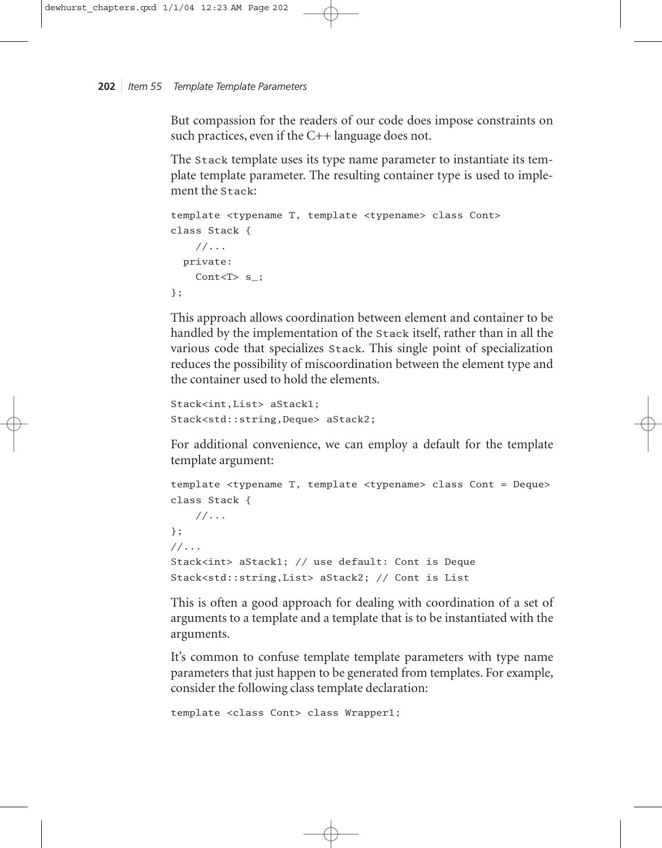## **202** ❘ *Item 55 Template Template Parameters*

But compassion for the readers of our code does impose constraints on such practices, even if the C++ language does not.

The Stack template uses its type name parameter to instantiate its template template parameter. The resulting container type is used to implement the Stack:

```
template <typename T, template <typename> class Cont>
class Stack {
    //...private:
    Cont<T>s_{-};
};
```
This approach allows coordination between element and container to be handled by the implementation of the Stack itself, rather than in all the various code that specializes Stack. This single point of specialization reduces the possibility of miscoordination between the element type and the container used to hold the elements.

```
Stack<int, List> aStack1;
Stack<std::string,Deque> aStack2;
```
For additional convenience, we can employ a default for the template template argument:

```
template <typename T, template <typename> class Cont = Deque>
class Stack {
    1/1....
};
1/1....
Stack<int> aStack1; // use default: Cont is Deque
Stack<std::string,List> aStack2; // Cont is List
```
This is often a good approach for dealing with coordination of a set of arguments to a template and a template that is to be instantiated with the arguments.

It's common to confuse template template parameters with type name parameters that just happen to be generated from templates. For example, consider the following class template declaration:

```
template <class Cont> class Wrapper1;
```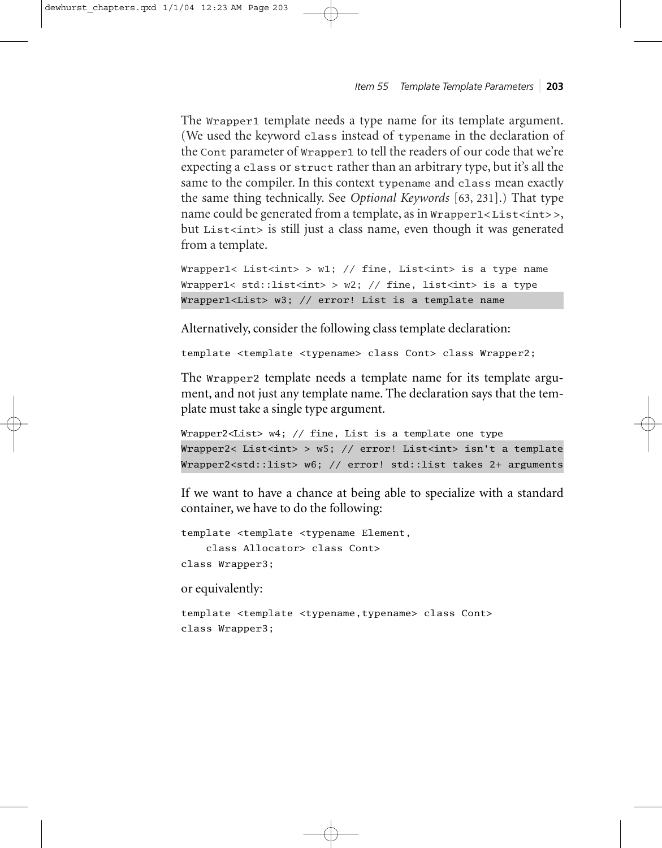*Item 55 Template Template Parameters* ❘ **203**

The Wrapper1 template needs a type name for its template argument. (We used the keyword class instead of typename in the declaration of the Cont parameter of Wrapper1 to tell the readers of our code that we're expecting a class or struct rather than an arbitrary type, but it's all the same to the compiler. In this context typename and class mean exactly the same thing technically. See *Optional Keywords* [63, 231].) That type name could be generated from a template, as in  $W$ rapper1<List<int>>, but List<int> is still just a class name, even though it was generated from a template.

```
Wrapper1< List<int> > w1; // fine, List<int> is a type name
Wrapper1< std::list<int> > w2; // fine, list<int> is a type
Wrapper1<List> w3; // error! List is a template name
```
Alternatively, consider the following class template declaration:

template <template <typename> class Cont> class Wrapper2;

The Wrapper2 template needs a template name for its template argument, and not just any template name. The declaration says that the template must take a single type argument.

```
Wrapper2<List> w4; // fine, List is a template one type
Wrapper2< List<int> > w5; // error! List<int> isn't a template
Wrapper2<std::list> w6; // error! std::list takes 2+ arguments
```
If we want to have a chance at being able to specialize with a standard container, we have to do the following:

```
template <template <typename Element,
    class Allocator> class Cont>
class Wrapper3;
```
or equivalently:

```
template <template <typename,typename> class Cont>
class Wrapper3;
```